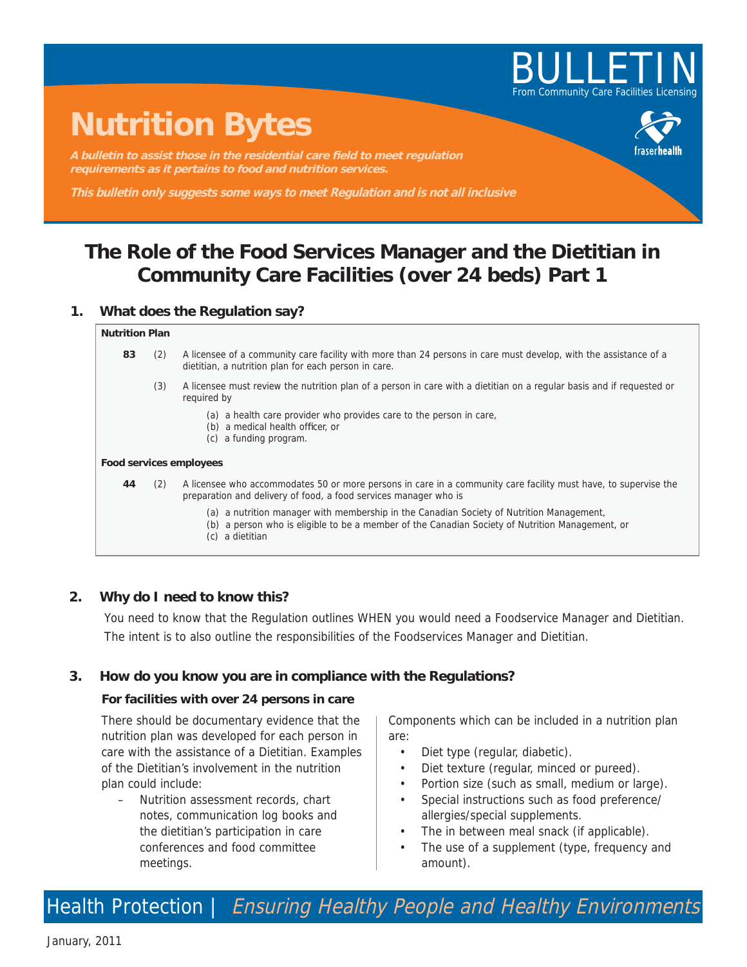

# **Nutrition Bytes**

A bulletin to assist those in the residential care field to meet regulation **requirements as it pertains to food and nutrition services.**

**This bulletin only suggests some ways to meet Regulation and is not all inclusive**

# **The Role of the Food Services Manager and the Dietitian in Community Care Facilities (over 24 beds) Part 1**

## **1. What does the Regulation say?**

#### **Nutrition Plan**

- **83** (2) A licensee of a community care facility with more than 24 persons in care must develop, with the assistance of a dietitian, a nutrition plan for each person in care.
	- (3) A licensee must review the nutrition plan of a person in care with a dietitian on a regular basis and if requested or required by
		- (a) a health care provider who provides care to the person in care,
		- (b) a medical health officer, or
		- (c) a funding program.

#### **Food services employees**

**44** (2) A licensee who accommodates 50 or more persons in care in a community care facility must have, to supervise the preparation and delivery of food, a food services manager who is

(a) a nutrition manager with membership in the Canadian Society of Nutrition Management,

- (b) a person who is eligible to be a member of the Canadian Society of Nutrition Management, or
- (c) a dietitian

# **2. Why do I need to know this?**

You need to know that the Regulation outlines WHEN you would need a Foodservice Manager and Dietitian. The intent is to also outline the responsibilities of the Foodservices Manager and Dietitian.

## **3. How do you know you are in compliance with the Regulations?**

#### **For facilities with over 24 persons in care**

There should be documentary evidence that the nutrition plan was developed for each person in care with the assistance of a Dietitian. Examples of the Dietitian's involvement in the nutrition plan could include:

– Nutrition assessment records, chart notes, communication log books and the dietitian's participation in care conferences and food committee meetings.

Components which can be included in a nutrition plan are:

- Diet type (regular, diabetic).
- Diet texture (regular, minced or pureed).
- Portion size (such as small, medium or large).
- Special instructions such as food preference/ allergies/special supplements.
- The in between meal snack (if applicable).
- The use of a supplement (type, frequency and amount).

Health Protection | Ensuring Healthy People and Healthy Environments